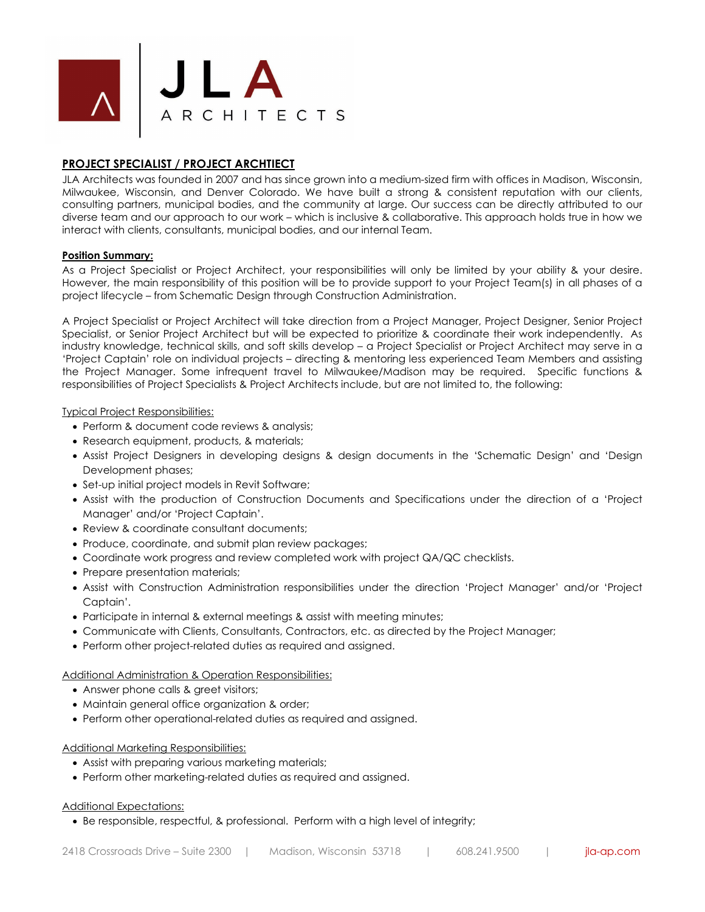

# **PROJECT SPECIALIST / PROJECT ARCHTIECT**

JLA Architects was founded in 2007 and has since grown into a medium-sized firm with offices in Madison, Wisconsin, Milwaukee, Wisconsin, and Denver Colorado. We have built a strong & consistent reputation with our clients, consulting partners, municipal bodies, and the community at large. Our success can be directly attributed to our diverse team and our approach to our work – which is inclusive & collaborative. This approach holds true in how we interact with clients, consultants, municipal bodies, and our internal Team.

## **Position Summary:**

As a Project Specialist or Project Architect, your responsibilities will only be limited by your ability & your desire. However, the main responsibility of this position will be to provide support to your Project Team(s) in all phases of a project lifecycle – from Schematic Design through Construction Administration.

A Project Specialist or Project Architect will take direction from a Project Manager, Project Designer, Senior Project Specialist, or Senior Project Architect but will be expected to prioritize & coordinate their work independently. As industry knowledge, technical skills, and soft skills develop – a Project Specialist or Project Architect may serve in a 'Project Captain' role on individual projects – directing & mentoring less experienced Team Members and assisting the Project Manager. Some infrequent travel to Milwaukee/Madison may be required. Specific functions & responsibilities of Project Specialists & Project Architects include, but are not limited to, the following:

## Typical Project Responsibilities:

- Perform & document code reviews & analysis:
- Research equipment, products, & materials;
- Assist Project Designers in developing designs & design documents in the 'Schematic Design' and 'Design Development phases;
- Set-up initial project models in Revit Software;
- Assist with the production of Construction Documents and Specifications under the direction of a 'Project Manager' and/or 'Project Captain'.
- Review & coordinate consultant documents;
- Produce, coordinate, and submit plan review packages;
- Coordinate work progress and review completed work with project QA/QC checklists.
- Prepare presentation materials:
- Assist with Construction Administration responsibilities under the direction 'Project Manager' and/or 'Project Captain'.
- Participate in internal & external meetings & assist with meeting minutes;
- Communicate with Clients, Consultants, Contractors, etc. as directed by the Project Manager;
- Perform other project-related duties as required and assigned.

### Additional Administration & Operation Responsibilities:

- Answer phone calls & greet visitors;
- Maintain general office organization & order;
- Perform other operational-related duties as required and assigned.

# Additional Marketing Responsibilities:

- Assist with preparing various marketing materials;
- Perform other marketing-related duties as required and assigned.

### Additional Expectations:

• Be responsible, respectful, & professional. Perform with a high level of integrity;